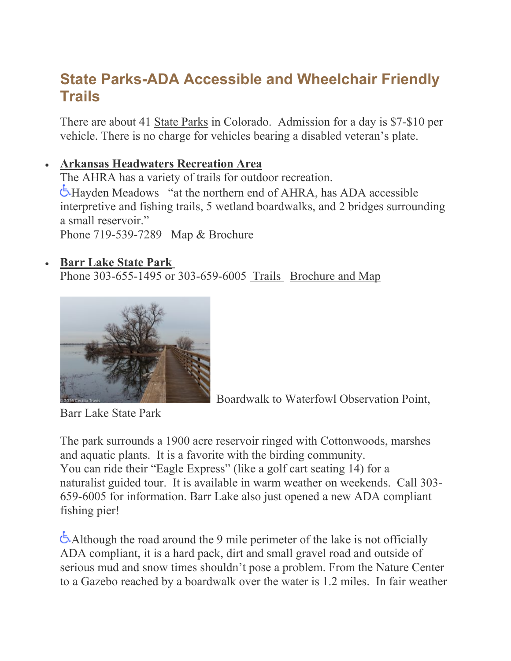# **State Parks-ADA Accessible and Wheelchair Friendly Trails**

There are about 41 State [Parks](http://www.parks.state.co.us/Pages/HomePage.aspx) in Colorado. Admission for a day is \$7-\$10 per vehicle. There is no charge for vehicles bearing a disabled veteran's plate.

#### • **Arkansas [Headwaters](http://cpw.state.co.us/placestogo/parks/ArkansasHeadwatersRecreationArea/Pages/Trails.aspx) Recreation Area**

The AHRA has a variety of trails for outdoor recreation. Hayden Meadows "at the northern end of AHRA, has ADA accessible interpretive and fishing trails, 5 wetland boardwalks, and 2 bridges surrounding a small reservoir." Phone 719-539-7289 Map & [Brochure](http://cpw.state.co.us/placestogo/parks/ArkansasHeadwatersRecreationArea/Documents/Admin/Publications/ArkansasBrochure.pdf)

#### • **Barr Lake [State](http://cpw.state.co.us/placestogo/parks/BarrLake) Park**

Phone 303-655-1495 or 303-659-6005 [Trails](http://cpw.state.co.us/placestogo/parks/barrlake/Pages/Trails.aspx) [Brochure](http://cpw.state.co.us/placestogo/parks/barrlake/Documents/BarrAreaBro.pdf) and Map



Boardwalk to Waterfowl Observation Point,

Barr Lake State Park

The park surrounds a 1900 acre reservoir ringed with Cottonwoods, marshes and aquatic plants. It is a favorite with the birding community. You can ride their "Eagle Express" (like a golf cart seating 14) for a naturalist guided tour. It is available in warm weather on weekends. Call 303- 659-6005 for information. Barr Lake also just opened a new ADA compliant fishing pier!

[A](http://www.accessiblenature.info/wp-content/uploads/2012/10/wheelchair_symbol_blue.png)lthough the road around the 9 mile perimeter of the lake is not officially ADA compliant, it is a hard pack, dirt and small gravel road and outside of serious mud and snow times shouldn't pose a problem. From the Nature Center to a Gazebo reached by a boardwalk over the water is 1.2 miles. In fair weather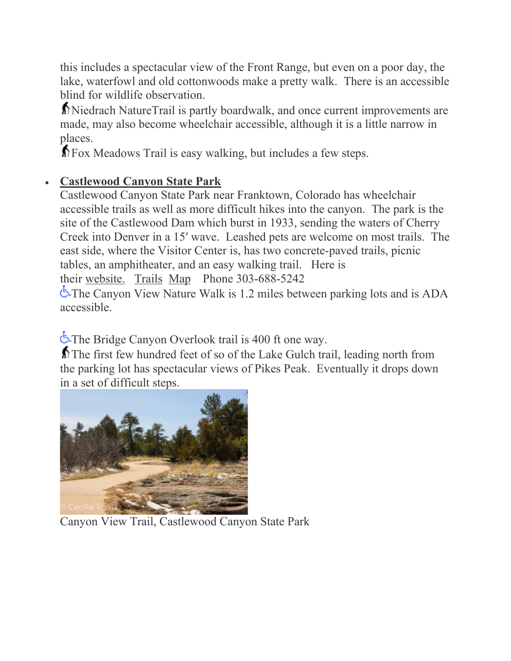this includes a spectacular view of the Front Range, but even on a poor day, the lake, waterfowl and old cottonwoods make a pretty walk. There is an accessible blind for wildlife observation.

[N](http://www.accessiblenature.info/wp-content/uploads/2014/03/Hikerwithcane.png)iedrach NatureTrail is partly boardwalk, and once current improvements are made, may also become wheelchair accessible, although it is a little narrow in [pla](http://www.accessiblenature.info/wp-content/uploads/2014/03/Hikerwithcane.png)ces.

**M** Fox Meadows Trail is easy walking, but includes a few steps.

## • **Castlewood Canyon State Park**

Castlewood Canyon State Park near Franktown, Colorado has wheelchair accessible trails as well as more difficult hikes into the canyon. The park is the site of the Castlewood Dam which burst in 1933, sending the waters of Cherry Creek into Denver in a 15′ wave. Leashed pets are welcome on most trails. The east side, where the Visitor Center is, has two concrete-paved trails, picnic tables, an amphitheater, and an easy walking trail. Here is their [website.](http://cpw.state.co.us/placestogo/parks/CastlewoodCanyon) [Trails](http://cpw.state.co.us/placestogo/parks/CastlewoodCanyon/Pages/Trails.aspx) [Map](http://cpw.state.co.us/placestogo/parks/CastlewoodCanyon/Documents/Castlewood-StateParkMap.pdf) Phone 303-688-5242 The Canyon View Nature Walk is 1.2 miles between parking lots and is ADA accessible.

[T](http://www.accessiblenature.info/wp-content/uploads/2012/10/wheelchair_symbol_blue.png)he Bridge Canyon Overlook trail is 400 ft one way.

[T](http://www.accessiblenature.info/wp-content/uploads/2014/03/Hikerwithcane.png)he first few hundred feet of so of the Lake Gulch trail, leading north from the parking lot has spectacular views of Pikes Peak. Eventually it drops down [in a set of difficult steps.](http://www.accessiblenature.info/wp-content/uploads/2014/05/CAT20150326CastlewwodCSP018.jpg)



Canyon View Trail, Castlewood Canyon State Park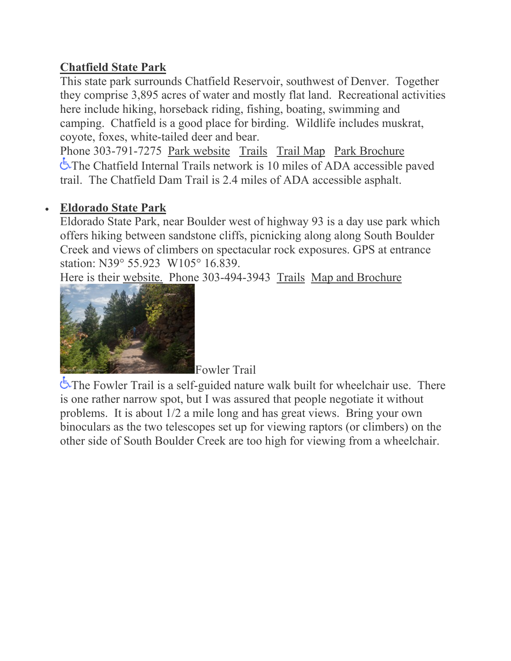## **Chatfield State Park**

This state park surrounds Chatfield Reservoir, southwest of Denver. Together they comprise 3,895 acres of water and mostly flat land. Recreational activities here include hiking, horseback riding, fishing, boating, swimming and camping. Chatfield is a good place for birding. Wildlife includes muskrat, coyote, foxes, white-tailed deer and bear.

Phone 303-791-7275 Park [website](http://www.parks.state.co.us/Parks/Chatfield/Pages/ChatfieldHome.aspx) [Trails](http://cpw.state.co.us/placestogo/parks/Chatfield/Pages/Trails.aspx) [Trail](http://cpw.state.co.us/placestogo/parks/Chatfield/Documents/CPW_CHA_1of1.pdf) Map Park [Brochure](http://cpw.state.co.us/placestogo/parks/Chatfield/Documents/ChatfieldBrochure.pdf) The Chatfield Internal Trails network is 10 miles of ADA accessible paved trail. The Chatfield Dam Trail is 2.4 miles of ADA accessible asphalt.

## • **Eldorado State Park**

Eldorado State Park, near Boulder west of highway 93 is a day use park which offers hiking between sandstone cliffs, picnicking along along South Boulder Creek and views of climbers on spectacular rock exposures. GPS at entrance station: N39° 55.923 W105° 16.839.

[Here is their](http://www.accessiblenature.info/wp-content/uploads/2012/10/CAT20130822EldoradoSP029.jpg) [website.](http://www.parks.state.co.us/Parks/EldoradoCanyon/Trails/Pages/Trails%20at%20Eldorado%20State%20Park.aspx) Phone 303-494-3943 [Trails](http://cpw.state.co.us/placestogo/parks/EldoradoCanyon/Pages/Trails.aspx) Map and [Brochure](http://cpw.state.co.us/placestogo/parks/EldoradoCanyon/Documents/EldoradoAreaBrochure.pdf)



Fowler Trail

The Fowler Trail is a self-guided nature walk built for wheelchair use. There is one rather narrow spot, but I was assured that people negotiate it without problems. It is about 1/2 a mile long and has great views. Bring your own binoculars as the two telescopes set up for viewing raptors (or climbers) on the other side of South Boulder Creek are too high for viewing from a wheelchair.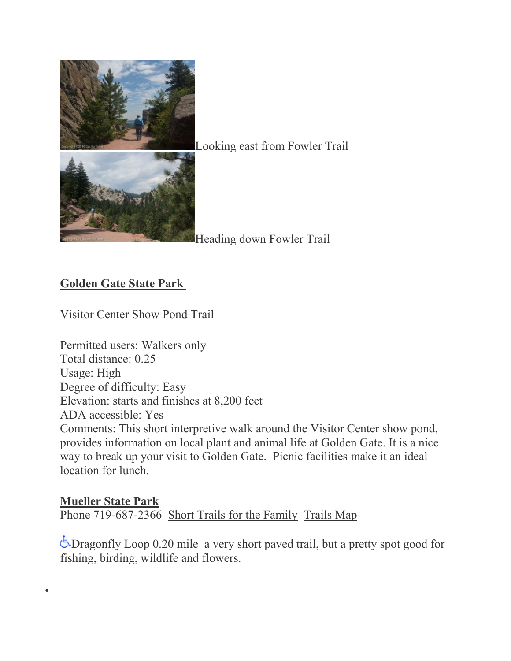

Looking east from Fowler Trail

Heading down Fowler Trail

## **Golden Gate State Park**

•

Visitor Center Show Pond Trail

Permitted users: Walkers only Total distance: 0.25 Usage: High Degree of difficulty: Easy Elevation: starts and finishes at 8,200 feet ADA accessible: Yes Comments: This short interpretive walk around the Visitor Center show pond, provides information on local plant and animal life at Golden Gate. It is a nice way to break up your visit to Golden Gate. Picnic facilities make it an ideal location for lunch.

#### **[Mueller](http://cpw.state.co.us/placestogo/parks/Mueller/Pages/default.aspx) State Park**  Phone 719-687-2366 Short Trails for the [Family](http://cpw.state.co.us/placestogo/parks/Mueller/Pages/Trails.aspx) [Trails](http://cpw.state.co.us/placestogo/parks/Mueller/Documents/MuellerRecreationalTrails.pdf) Map

Dragonfly Loop 0.20 mile a very short paved trail, but a pretty spot good for fishing, birding, wildlife and flowers.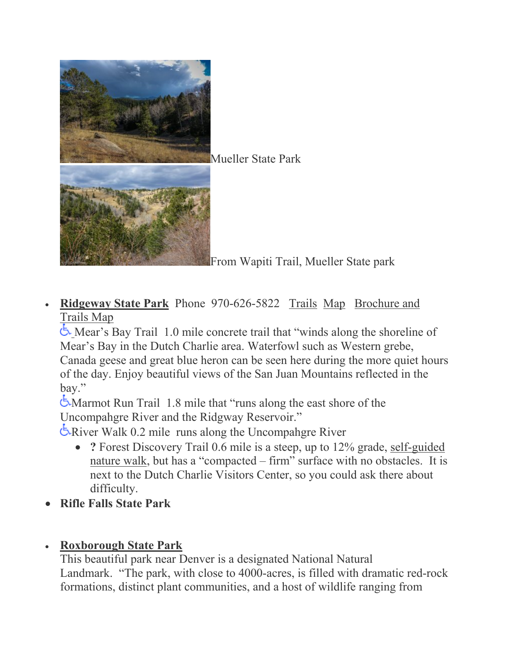

• **[Ridgeway](http://cpw.state.co.us/placestogo/parks/Ridgway/Pages/default.aspx) State Park** Phone 970-626-5822 [Trails](http://cpw.state.co.us/placestogo/parks/Ridgway/Pages/Trails.aspx) [Map](http://cpw.state.co.us/placestogo/parks/Ridgway/Documents/RidgwayParkMap.pdf) [Brochure](http://cpw.state.co.us/placestogo/parks/Ridgway/Documents/RidgwayTrailMap.pdf) and [Trails](http://cpw.state.co.us/placestogo/parks/Ridgway/Documents/RidgwayTrailMap.pdf) Map

[M](http://cpw.state.co.us/placestogo/parks/Ridgway/Documents/RidgwayTrailMap.pdf)ear's Bay Trail 1.0 mile concrete trail that "winds along the shoreline of Mear's Bay in the Dutch Charlie area. Waterfowl such as Western grebe, Canada geese and great blue heron can be seen here during the more quiet hours of the day. Enjoy beautiful views of the San Juan Mountains reflected in the bay."

Marmot Run Trail 1.8 mile that "runs along the east shore of the Uncompahgre River and the Ridgway Reservoir."

River Walk 0.2 mile runs along the Uncompahgre River

- **?** Forest Discovery Trail 0.6 mile is a steep, up to 12% grade, [self-guided](http://cpw.state.co.us/placestogo/parks/Ridgway/Documents/ForestDiscoveryNatureTrailGuide.pdf) [nature](http://cpw.state.co.us/placestogo/parks/Ridgway/Documents/ForestDiscoveryNatureTrailGuide.pdf) walk, but has a "compacted – firm" surface with no obstacles. It is next to the Dutch Charlie Visitors Center, so you could ask there about difficulty.
- **Rifle Falls State Park**

## • **Roxborough State Park**

This beautiful park near Denver is a designated National Natural Landmark. "The park, with close to 4000-acres, is filled with dramatic red-rock formations, distinct plant communities, and a host of wildlife ranging from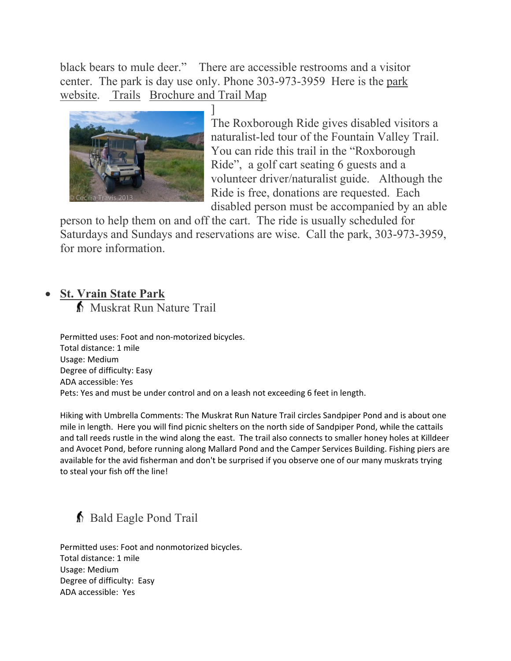black bears to mule deer." There are accessible restrooms and a visitor center. The park is day use only. Phone 303-973-3959 Here is the [park](http://www.parks.state.co.us/parks/roxborough/Pages/RoxboroughStatePark.aspx) [website.](http://www.parks.state.co.us/parks/roxborough/Pages/RoxboroughStatePark.aspx) [Trails](http://cpw.state.co.us/placestogo/parks/Roxborough/Pages/Trails.aspx) [Brochure](http://cpw.state.co.us/placestogo/parks/Roxborough/Documents/RoxboroughAreaBrochure.pdf) and Trail Map



] The Roxborough Ride gives disabled visitors a naturalist-led tour of the Fountain Valley Trail. You can ride this trail in the "Roxborough Ride", a golf cart seating 6 guests and a volunteer driver/naturalist guide. Although the Ride is free, donations are requested. Each disabled person must be accompanied by an able

person to help them on and off the cart. The ride is usually scheduled for Saturdays and Sundays and reservations are wise. Call the park, 303-973-3959, for more information.

#### • **St. Vrain State Park**

Muskrat Run Nature Trail

Permitted uses: Foot and non-motorized bicycles. Total distance: 1 mile Usage: Medium Degree of difficulty: Easy ADA accessible: Yes Pets: Yes and must be under control and on a leash not exceeding 6 feet in length.

Hiking with Umbrella Comments: The Muskrat Run Nature Trail circles Sandpiper Pond and is about one mile in length. Here you will find picnic shelters on the north side of Sandpiper Pond, while the cattails and tall reeds rustle in the wind along the east. The trail also connects to smaller honey holes at Killdeer and Avocet Pond, before running along Mallard Pond and the Camper Services Building. Fishing piers are available for the avid fisherman and don't be surprised if you observe one of our many muskrats trying to steal your fish off the line!

## Bald Eagle Pond Trail

Permitted uses: Foot and nonmotorized bicycles. Total distance: 1 mile Usage: Medium Degree of difficulty: Easy ADA accessible: Yes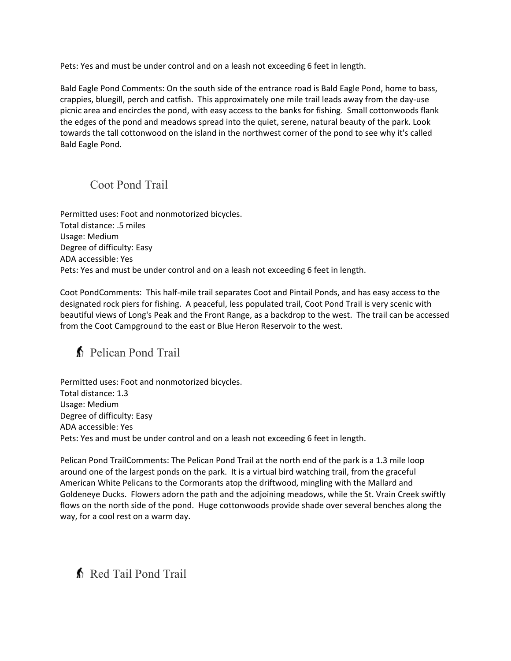Pets: Yes and must be under control and on a leash not exceeding 6 feet in length.

Bald Eagle Pond Comments: On the south side of the entrance road is Bald Eagle Pond, home to bass, crappies, bluegill, perch and catfish. This approximately one mile trail leads away from the day-use picnic area and encircles the pond, with easy access to the banks for fishing. Small cottonwoods flank the edges of the pond and meadows spread into the quiet, serene, natural beauty of the park. Look towards the tall cottonwood on the island in the northwest corner of the pond to see why it's called Bald Eagle Pond.

#### Coot Pond Trail

Permitted uses: Foot and nonmotorized bicycles. Total distance: .5 miles Usage: Medium Degree of difficulty: Easy ADA accessible: Yes Pets: Yes and must be under control and on a leash not exceeding 6 feet in length.

Coot PondComments: This half-mile trail separates Coot and Pintail Ponds, and has easy access to the designated rock piers for fishing. A peaceful, less populated trail, Coot Pond Trail is very scenic with beautiful views of Long's Peak and the Front Range, as a backdrop to the west. The trail can be accessed from the Coot Campground to the east or Blue Heron Reservoir to the west.

## Pelican Pond Trail

Permitted uses: Foot and nonmotorized bicycles. Total distance: 1.3 Usage: Medium Degree of difficulty: Easy ADA accessible: Yes Pets: Yes and must be under control and on a leash not exceeding 6 feet in length.

Pelican Pond TrailComments: The Pelican Pond Trail at the north end of the park is a 1.3 mile loop around one of the largest ponds on the park. It is a virtual bird watching trail, from the graceful American White Pelicans to the Cormorants atop the driftwood, mingling with the Mallard and Goldeneye Ducks. Flowers adorn the path and the adjoining meadows, while the St. Vrain Creek swiftly flows on the north side of the pond. Huge cottonwoods provide shade over several benches along the way, for a cool rest on a warm day.

## Red Tail Pond Trail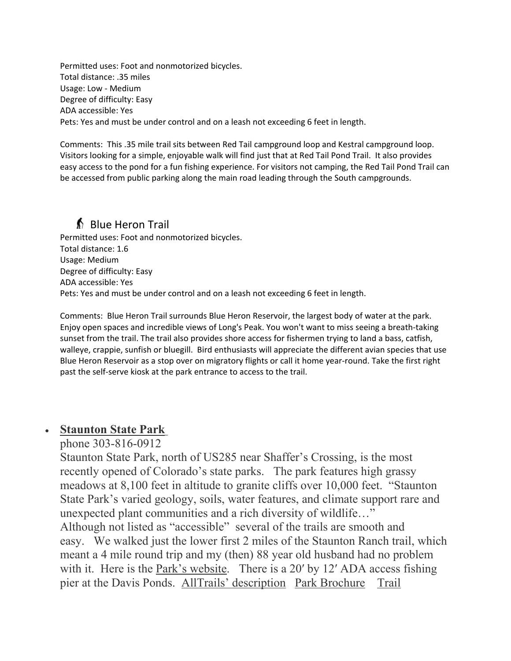Permitted uses: Foot and nonmotorized bicycles. Total distance: .35 miles Usage: Low - Medium Degree of difficulty: Easy ADA accessible: Yes Pets: Yes and must be under control and on a leash not exceeding 6 feet in length.

Comments: This .35 mile trail sits between Red Tail campground loop and Kestral campground loop. Visitors looking for a simple, enjoyable walk will find just that at Red Tail Pond Trail. It also provides easy access to the pond for a fun fishing experience. For visitors not camping, the Red Tail Pond Trail can be accessed from public parking along the main road leading through the South campgrounds.

## **S** Blue Heron Trail

Permitted uses: Foot and nonmotorized bicycles. Total distance: 1.6 Usage: Medium Degree of difficulty: Easy ADA accessible: Yes Pets: Yes and must be under control and on a leash not exceeding 6 feet in length.

Comments: Blue Heron Trail surrounds Blue Heron Reservoir, the largest body of water at the park. Enjoy open spaces and incredible views of Long's Peak. You won't want to miss seeing a breath-taking sunset from the trail. The trail also provides shore access for fishermen trying to land a bass, catfish, walleye, crappie, sunfish or bluegill. Bird enthusiasts will appreciate the different avian species that use Blue Heron Reservoir as a stop over on migratory flights or call it home year-round. Take the first right past the self-serve kiosk at the park entrance to access to the trail.

#### • **Staunton State Park**

phone 303-816-0912

Staunton State Park, north of US285 near Shaffer's Crossing, is the most recently opened of Colorado's state parks. The park features high grassy meadows at 8,100 feet in altitude to granite cliffs over 10,000 feet. "Staunton State Park's varied geology, soils, water features, and climate support rare and unexpected plant communities and a rich diversity of wildlife…" Although not listed as "accessible" several of the trails are smooth and

easy. We walked just the lower first 2 miles of the Staunton Ranch trail, which meant a 4 mile round trip and my (then) 88 year old husband had no problem with it. Here is the Park's [website.](http://www.parks.state.co.us/parks/staunton/Pages/Staunton.aspx) There is a 20' by 12' ADA access fishing pier at the Davis Ponds. AllTrails' [description](https://www.alltrails.com/parks/us/colorado/staunton-state-park) Park [Brochure](https://cpw.state.co.us/placestogo/parks/Staunton/Documents/Staunton%20Brochure.pdf) [Trail](https://cpw.state.co.us/placestogo/parks/Staunton/Documents/HPST_Staunton_TearOffMap_05.01.18.pdf)